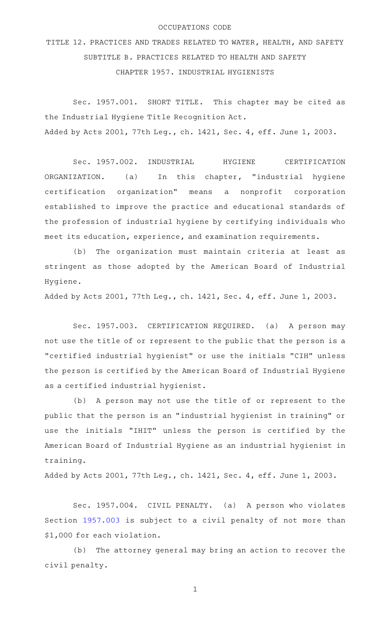## OCCUPATIONS CODE

TITLE 12. PRACTICES AND TRADES RELATED TO WATER, HEALTH, AND SAFETY SUBTITLE B. PRACTICES RELATED TO HEALTH AND SAFETY CHAPTER 1957. INDUSTRIAL HYGIENISTS

Sec. 1957.001. SHORT TITLE. This chapter may be cited as the Industrial Hygiene Title Recognition Act. Added by Acts 2001, 77th Leg., ch. 1421, Sec. 4, eff. June 1, 2003.

Sec. 1957.002. INDUSTRIAL HYGIENE CERTIFICATION ORGANIZATION. (a) In this chapter, "industrial hygiene certification organization" means a nonprofit corporation established to improve the practice and educational standards of the profession of industrial hygiene by certifying individuals who meet its education, experience, and examination requirements.

(b) The organization must maintain criteria at least as stringent as those adopted by the American Board of Industrial Hygiene.

Added by Acts 2001, 77th Leg., ch. 1421, Sec. 4, eff. June 1, 2003.

Sec. 1957.003. CERTIFICATION REQUIRED. (a) A person may not use the title of or represent to the public that the person is a "certified industrial hygienist" or use the initials "CIH" unless the person is certified by the American Board of Industrial Hygiene as a certified industrial hygienist.

(b) A person may not use the title of or represent to the public that the person is an "industrial hygienist in training" or use the initials "IHIT" unless the person is certified by the American Board of Industrial Hygiene as an industrial hygienist in training.

Added by Acts 2001, 77th Leg., ch. 1421, Sec. 4, eff. June 1, 2003.

Sec. 1957.004. CIVIL PENALTY. (a) A person who violates Section [1957.003](http://www.statutes.legis.state.tx.us/GetStatute.aspx?Code=OC&Value=1957.003) is subject to a civil penalty of not more than \$1,000 for each violation.

(b) The attorney general may bring an action to recover the civil penalty.

1